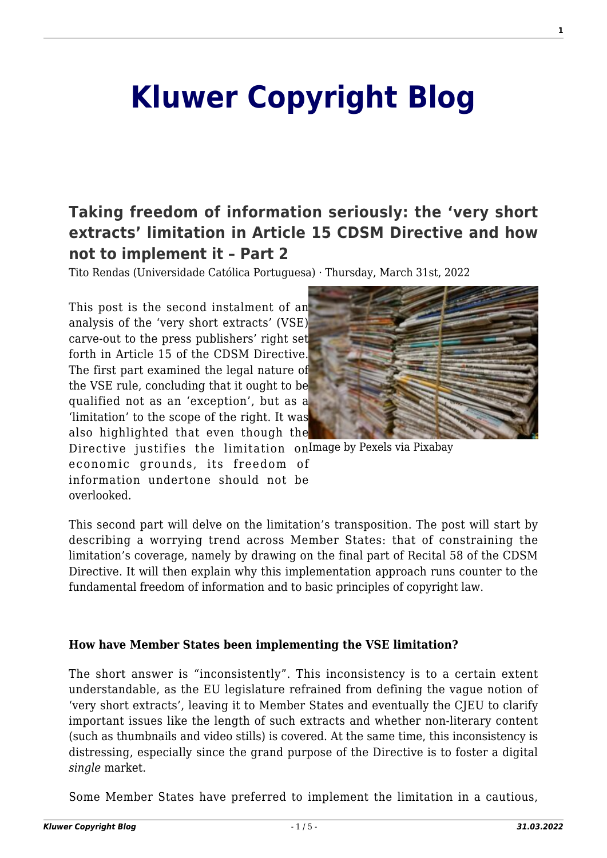# **[Kluwer Copyright Blog](http://copyrightblog.kluweriplaw.com/)**

# **[Taking freedom of information seriously: the 'very short](http://copyrightblog.kluweriplaw.com/2022/03/31/taking-freedom-of-information-seriously-the-very-short-extracts-limitation-in-article-15-cdsm-directive-and-how-not-to-implement-it-part-2/) [extracts' limitation in Article 15 CDSM Directive and how](http://copyrightblog.kluweriplaw.com/2022/03/31/taking-freedom-of-information-seriously-the-very-short-extracts-limitation-in-article-15-cdsm-directive-and-how-not-to-implement-it-part-2/) [not to implement it – Part 2](http://copyrightblog.kluweriplaw.com/2022/03/31/taking-freedom-of-information-seriously-the-very-short-extracts-limitation-in-article-15-cdsm-directive-and-how-not-to-implement-it-part-2/)**

Tito Rendas (Universidade Católica Portuguesa) · Thursday, March 31st, 2022

This post is the second instalment of an analysis of the 'very short extracts' (VSE) carve-out to the press publishers' right set forth in Article 15 of the CDSM Directive. The first part examined the legal nature of the VSE rule, concluding that it ought to be qualified not as an 'exception', but as a 'limitation' to the scope of the right. It was also highlighted that even though the



Directive justifies the limitation onImage by Pexels via Pixabay economic grounds, its freedom of information undertone should not be overlooked.

This second part will delve on the limitation's transposition. The post will start by describing a worrying trend across Member States: that of constraining the limitation's coverage, namely by drawing on the final part of Recital 58 of the CDSM Directive. It will then explain why this implementation approach runs counter to the fundamental freedom of information and to basic principles of copyright law.

#### **How have Member States been implementing the VSE limitation?**

The short answer is "inconsistently". This inconsistency is to a certain extent understandable, as the EU legislature refrained from defining the vague notion of 'very short extracts', leaving it to Member States and eventually the CJEU to clarify important issues like the length of such extracts and whether non-literary content (such as thumbnails and video stills) is covered. At the same time, this inconsistency is distressing, especially since the grand purpose of the Directive is to foster a digital *single* market.

Some Member States have preferred to implement the limitation in a cautious,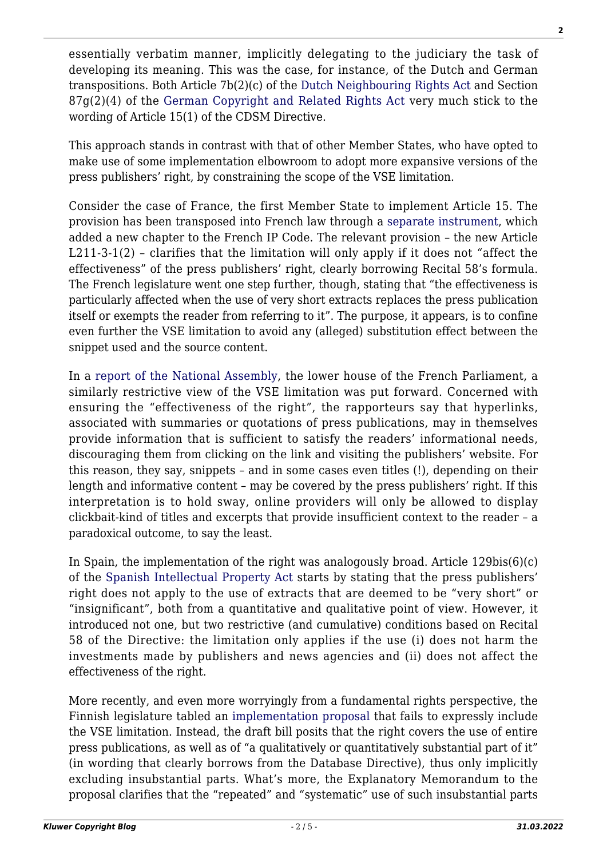essentially verbatim manner, implicitly delegating to the judiciary the task of developing its meaning. This was the case, for instance, of the Dutch and German transpositions. Both Article 7b(2)(c) of the [Dutch Neighbouring Rights Act](https://wetten.overheid.nl/BWBR0005921/2021-06-07) and Section  $87g(2)(4)$  of the [German Copyright and Related Rights Act](https://www.gesetze-im-internet.de/englisch_urhg/englisch_urhg.html) very much stick to the wording of Article 15(1) of the CDSM Directive.

This approach stands in contrast with that of other Member States, who have opted to make use of some implementation elbowroom to adopt more expansive versions of the press publishers' right, by constraining the scope of the VSE limitation.

Consider the case of France, the first Member State to implement Article 15. The provision has been transposed into French law through a [separate instrument,](https://www.legifrance.gouv.fr/jorf/id/JORFTEXT000038821358) which added a new chapter to the French IP Code. The relevant provision – the new Article L211-3-1(2) – clarifies that the limitation will only apply if it does not "affect the effectiveness" of the press publishers' right, clearly borrowing Recital 58's formula. The French legislature went one step further, though, stating that "the effectiveness is particularly affected when the use of very short extracts replaces the press publication itself or exempts the reader from referring to it". The purpose, it appears, is to confine even further the VSE limitation to avoid any (alleged) substitution effect between the snippet used and the source content.

In a [report of the National Assembly](https://www.assemblee-nationale.fr/dyn/15/rapports/dv/l15b4902_rapport-information), the lower house of the French Parliament, a similarly restrictive view of the VSE limitation was put forward. Concerned with ensuring the "effectiveness of the right", the rapporteurs say that hyperlinks, associated with summaries or quotations of press publications, may in themselves provide information that is sufficient to satisfy the readers' informational needs, discouraging them from clicking on the link and visiting the publishers' website. For this reason, they say, snippets – and in some cases even titles (!), depending on their length and informative content – may be covered by the press publishers' right. If this interpretation is to hold sway, online providers will only be allowed to display clickbait-kind of titles and excerpts that provide insufficient context to the reader – a paradoxical outcome, to say the least.

In Spain, the implementation of the right was analogously broad. Article  $129bis(6)(c)$ of the [Spanish Intellectual Property Act](https://www.boe.es/diario_boe/txt.php?id=BOE-A-2019-2974&fbclid=IwAR3AzQnqnAG_SKTybQg6xuycLuyFQNDCN-hc-2YNSeSFBcQrBdal7IYmUNw) starts by stating that the press publishers' right does not apply to the use of extracts that are deemed to be "very short" or "insignificant", both from a quantitative and qualitative point of view. However, it introduced not one, but two restrictive (and cumulative) conditions based on Recital 58 of the Directive: the limitation only applies if the use (i) does not harm the investments made by publishers and news agencies and (ii) does not affect the effectiveness of the right.

More recently, and even more worryingly from a fundamental rights perspective, the Finnish legislature tabled an [implementation proposal](https://www.lausuntopalvelu.fi/FI/Proposal/Participation?proposalId=bf2bc712-ff6e-4a23-81de-91581bc2bf81) that fails to expressly include the VSE limitation. Instead, the draft bill posits that the right covers the use of entire press publications, as well as of "a qualitatively or quantitatively substantial part of it" (in wording that clearly borrows from the Database Directive), thus only implicitly excluding insubstantial parts. What's more, the Explanatory Memorandum to the proposal clarifies that the "repeated" and "systematic" use of such insubstantial parts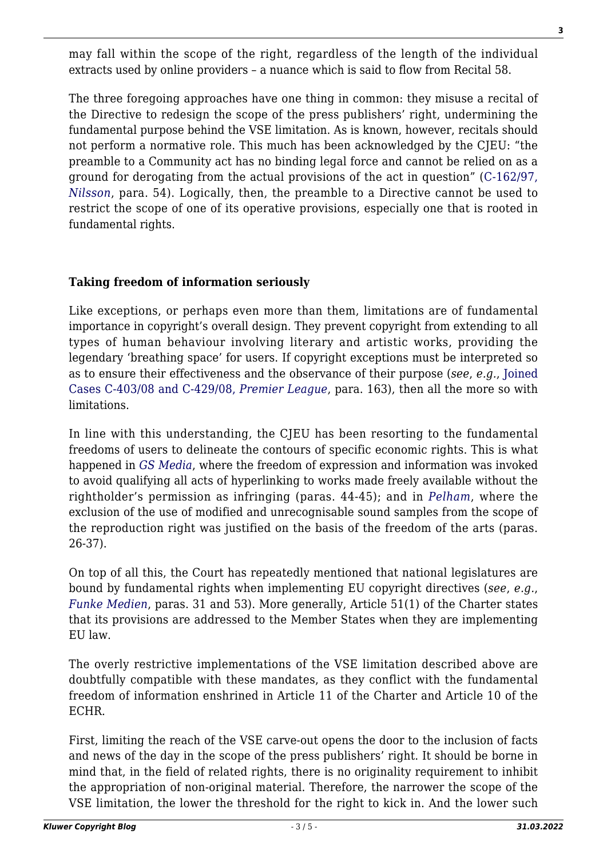may fall within the scope of the right, regardless of the length of the individual extracts used by online providers – a nuance which is said to flow from Recital 58.

The three foregoing approaches have one thing in common: they misuse a recital of the Directive to redesign the scope of the press publishers' right, undermining the fundamental purpose behind the VSE limitation. As is known, however, recitals should not perform a normative role. This much has been acknowledged by the CJEU: "the preamble to a Community act has no binding legal force and cannot be relied on as a ground for derogating from the actual provisions of the act in question" ([C-162/97,](https://curia.europa.eu/juris/liste.jsf?language=en&num=C-162/97) *[Nilsson](https://curia.europa.eu/juris/liste.jsf?language=en&num=C-162/97)*, para. 54). Logically, then, the preamble to a Directive cannot be used to restrict the scope of one of its operative provisions, especially one that is rooted in fundamental rights.

### **Taking freedom of information seriously**

Like exceptions, or perhaps even more than them, limitations are of fundamental importance in copyright's overall design. They prevent copyright from extending to all types of human behaviour involving literary and artistic works, providing the legendary 'breathing space' for users. If copyright exceptions must be interpreted so as to ensure their effectiveness and the observance of their purpose (*see*, *e.g.*, [Joined](https://curia.europa.eu/juris/liste.jsf?num=C-403/08&language=pt) [Cases C-403/08 and C-429/08,](https://curia.europa.eu/juris/liste.jsf?num=C-403/08&language=pt) *[Premier League](https://curia.europa.eu/juris/liste.jsf?num=C-403/08&language=pt)*, para. 163), then all the more so with limitations.

In line with this understanding, the CJEU has been resorting to the fundamental freedoms of users to delineate the contours of specific economic rights. This is what happened in *[GS Media](https://curia.europa.eu/juris/liste.jsf?num=C-160/15)*, where the freedom of expression and information was invoked to avoid qualifying all acts of hyperlinking to works made freely available without the rightholder's permission as infringing (paras. 44-45); and in *[Pelham](https://curia.europa.eu/juris/liste.jsf?num=C-476/17)*, where the exclusion of the use of modified and unrecognisable sound samples from the scope of the reproduction right was justified on the basis of the freedom of the arts (paras. 26-37).

On top of all this, the Court has repeatedly mentioned that national legislatures are bound by fundamental rights when implementing EU copyright directives (*see*, *e.g.*, *[Funke Medien](https://curia.europa.eu/juris/liste.jsf?num=C-469/17)*, paras. 31 and 53). More generally, Article 51(1) of the Charter states that its provisions are addressed to the Member States when they are implementing EU law.

The overly restrictive implementations of the VSE limitation described above are doubtfully compatible with these mandates, as they conflict with the fundamental freedom of information enshrined in Article 11 of the Charter and Article 10 of the ECHR.

First, limiting the reach of the VSE carve-out opens the door to the inclusion of facts and news of the day in the scope of the press publishers' right. It should be borne in mind that, in the field of related rights, there is no originality requirement to inhibit the appropriation of non-original material. Therefore, the narrower the scope of the VSE limitation, the lower the threshold for the right to kick in. And the lower such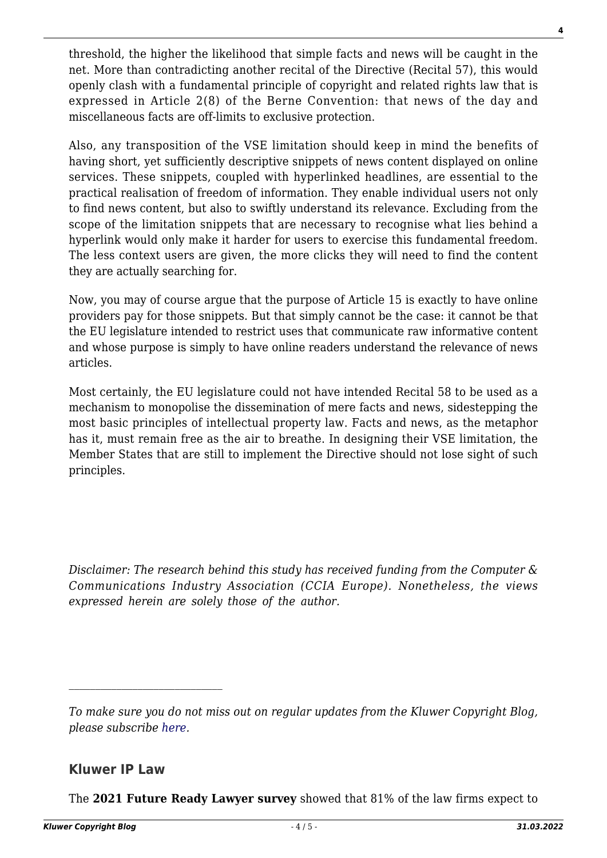threshold, the higher the likelihood that simple facts and news will be caught in the net. More than contradicting another recital of the Directive (Recital 57), this would openly clash with a fundamental principle of copyright and related rights law that is expressed in Article 2(8) of the Berne Convention: that news of the day and miscellaneous facts are off-limits to exclusive protection.

Also, any transposition of the VSE limitation should keep in mind the benefits of having short, yet sufficiently descriptive snippets of news content displayed on online services. These snippets, coupled with hyperlinked headlines, are essential to the practical realisation of freedom of information. They enable individual users not only to find news content, but also to swiftly understand its relevance. Excluding from the scope of the limitation snippets that are necessary to recognise what lies behind a hyperlink would only make it harder for users to exercise this fundamental freedom. The less context users are given, the more clicks they will need to find the content they are actually searching for.

Now, you may of course argue that the purpose of Article 15 is exactly to have online providers pay for those snippets. But that simply cannot be the case: it cannot be that the EU legislature intended to restrict uses that communicate raw informative content and whose purpose is simply to have online readers understand the relevance of news articles.

Most certainly, the EU legislature could not have intended Recital 58 to be used as a mechanism to monopolise the dissemination of mere facts and news, sidestepping the most basic principles of intellectual property law. Facts and news, as the metaphor has it, must remain free as the air to breathe. In designing their VSE limitation, the Member States that are still to implement the Directive should not lose sight of such principles.

*Disclaimer: The research behind this study has received funding from the Computer & Communications Industry Association (CCIA Europe). Nonetheless, the views expressed herein are solely those of the author.*

## **Kluwer IP Law**

 $\mathcal{L}_\text{max}$ 

The **2021 Future Ready Lawyer survey** showed that 81% of the law firms expect to

*To make sure you do not miss out on regular updates from the Kluwer Copyright Blog, please subscribe [here.](http://copyrightblog.kluweriplaw.com/newsletter)*